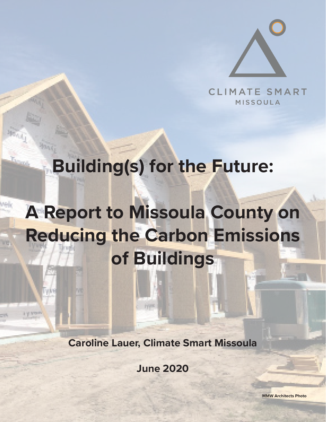

CLIMATE SMART **MISSOULA** 

## **Building(s) for the Future:**

# **A Report to Missoula County on Reducing the Carbon Emissions of Buildings**

**Caroline Lauer, Climate Smart Missoula**

**FALSON** 

**June 2020**

**MMW Architects Photo**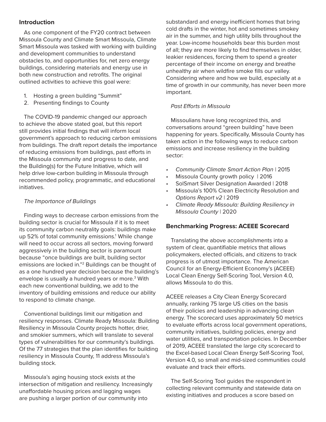## **Introduction**

As one component of the FY20 contract between Missoula County and Climate Smart Missoula, Climate Smart Missoula was tasked with working with building and development communities to understand obstacles to, and opportunities for, net zero energy buildings, considering materials and energy use in both new construction and retrofits. The original outlined activities to achieve this goal were:

- 1. Hosting a green building "Summit"
- 2. Presenting findings to County

The COVID-19 pandemic changed our approach to achieve the above stated goal, but this report still provides initial findings that will inform local government's approach to reducing carbon emissions from buildings. The draft report details the importance of reducing emissions from buildings, past efforts in the Missoula community and progress to date, and the Building(s) for the Future Initiative, which will help drive low-carbon building in Missoula through recommended policy, programmatic, and educational initiatives.

## *The Importance of Buildings*

Finding ways to decrease carbon emissions from the building sector is crucial for Missoula if it is to meet its community carbon neutrality goals: buildings make up 52% of total community emissions.<sup>1</sup> While change will need to occur across all sectors, moving forward aggressively in the building sector is paramount because "once buildings are built, building sector emissions are locked in."2 Buildings can be thought of as a one hundred year decision because the building's envelope is usually a hundred years or more.<sup>3</sup> With each new conventional building, we add to the inventory of building emissions and reduce our ability to respond to climate change.

Conventional buildings limit our mitigation and resiliency responses. Climate Ready Missoula: Building Resiliency in Missoula County projects hotter, drier, and smokier summers, which will translate to several types of vulnerabilities for our community's buildings. Of the 77 strategies that the plan identifies for building resiliency in Missoula County, 11 address Missoula's building stock.

Missoula's aging housing stock exists at the intersection of mitigation and resiliency. Increasingly unaffordable housing prices and lagging wages are pushing a larger portion of our community into

substandard and energy inefficient homes that bring cold drafts in the winter, hot and sometimes smokey air in the summer, and high utility bills throughout the year. Low-income households bear this burden most of all; they are more likely to find themselves in older, leakier residences, forcing them to spend a greater percentage of their income on energy and breathe unhealthy air when wildfire smoke fills our valley. Considering where and how we build, especially at a time of growth in our community, has never been more important.

### *Past Efforts in Missoula*

Missoulians have long recognized this, and conversations around "green building" have been happening for years. Specifically, Missoula County has taken action in the following ways to reduce carbon emissions and increase resiliency in the building sector:

- *• Community Climate Smart Action Plan |* 2015
- Missoula County growth policy | 2016
- SolSmart Silver Designation Awarded | 2018
- Missoula's 100% Clean Electricity Resolution and *Options Report v2* | 2019
- *• Climate Ready Missoula: Building Resiliency in Missoula County* | 2020

#### **Benchmarking Progress: ACEEE Scorecard**

Translating the above accomplishments into a system of clear, quantifiable metrics that allows policymakers, elected officials, and citizens to track progress is of utmost importance. The American Council for an Energy-Efficient Economy's (ACEEE) Local Clean Energy Self-Scoring Tool, Version 4.0, allows Missoula to do this.

ACEEE releases a City Clean Energy Scorecard annually, ranking 75 large US cities on the basis of their policies and leadership in advancing clean energy. The scorecard uses approximately 50 metrics to evaluate efforts across local government operations, community initiatives, building policies, energy and water utilities, and transportation policies. In December of 2019, ACEEE translated the large city scorecard to the Excel-based Local Clean Energy Self-Scoring Tool, Version 4.0, so small and mid-sized communities could evaluate and track their efforts.

The Self-Scoring Tool guides the respondent in collecting relevant community and statewide data on existing initiatives and produces a score based on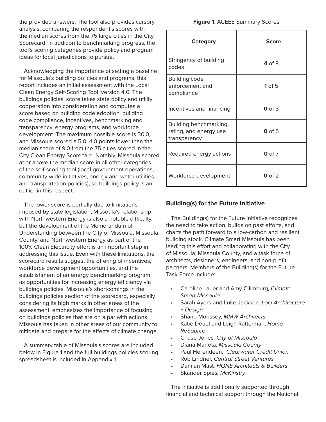the provided answers. The tool also provides cursory analysis, comparing the respondent's scores with the median scores from the 75 large cities in the City Scorecard. In addition to benchmarking progress, the tool's scoring categories provide policy and program ideas for local jurisdictions to pursue.

Acknowledging the importance of setting a baseline for Missoula's building policies and programs, this report includes an initial assessment with the Local Clean Energy Self-Scoring Tool, version 4.0. The buildings policies' score takes state policy and utility cooperation into consideration and computes a score based on building code adoption, building code compliance, incentives, benchmarking and transparency, energy programs, and workforce development. The maximum possible score is 30.0, and Missoula scored a 5.0, 4.0 points lower than the median score of 9.0 from the 75 cities scored in the City Clean Energy Scorecard. Notably, Missoula scored at or above the median score in all other categories of the self-scoring tool (local government operations, community-wide initiatives, energy and water utilities, and transportation policies), so buildings policy is an outlier in this respect.

The lower score is partially due to limitations imposed by state legislation; Missoula's relationship with Northwestern Energy is also a notable difficulty, but the development of the Memorandum of Understanding between the City of Missoula, Missoula County, and Northwestern Energy as part of the 100% Clean Electricity effort is an important step in addressing this issue. Even with these limitations, the scorecard results suggest the offering of incentives, workforce development opportunities, and the establishment of an energy benchmarking program as opportunities for increasing energy efficiency via buildings policies. Missoula's shortcomings in the buildings policies section of the scorecard, especially considering its high marks in other areas of the assessment, emphasizes the importance of focusing on buildings policies that are on a par with actions Missoula has taken in other areas of our community to mitigate and prepare for the effects of climate change.

A summary table of Missoula's scores are included below in Figure 1 and the full buildings policies scoring spreadsheet is included in Appendix 1.

| <b>Category</b>                                                  | <b>Score</b> |
|------------------------------------------------------------------|--------------|
| Stringency of building<br>codes                                  | 4 of 8       |
| <b>Building code</b><br>enforcement and<br>compliance            | $1$ of 5     |
| Incentives and financing                                         | $0$ of 3     |
| Building benchmarking,<br>rating, and energy use<br>transparency | $0$ of 5     |
| Required energy actions                                          | $0$ of $7$   |
| Workforce development                                            | $0$ of $2$   |

## **Building(s) for the Future Initiative**

The Building(s) for the Future initiative recognizes the need to take action, builds on past efforts, and charts the path forward to a low-carbon and resilient building stock. Climate Smart Missoula has been leading this effort and collaborating with the City of Missoula, Missoula County, and a task force of architects, designers, engineers, and non-profit partners. Members of the Building(s) for the Future Task Force include:

- Caroline Lauer and Amy Cilimburg*, Climate Smart Missoula*
- Sarah Ayers and Luke Jackson*, Loci Architecture + Design*
- Shane Morissey, *MMW Architects*
- Katie Deuel and Leigh Ratterman, *Home ReSource*
- Chase Jones*, City of Missoula*
- Diana Maneta*, Missoula County*
- Paul Herendeen*, Clearwater Credit Union*
- Rob Lindner, *Central Street Ventures*
- Damian Mast*, HONE Architects & Builders*
- Skander Spies*, McKinstry*

The initiative is additionally supported through financial and technical support through the National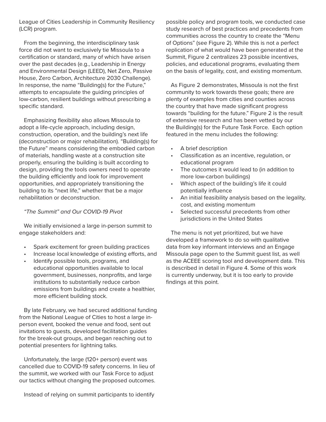League of Cities Leadership in Community Resiliency (LCR) program.

From the beginning, the interdisciplinary task force did not want to exclusively tie Missoula to a certification or standard, many of which have arisen over the past decades (e.g., Leadership in Energy and Environmental Design (LEED), Net Zero, Passive House, Zero Carbon, Architecture 2030 Challenge). In response, the name "Building(s) for the Future," attempts to encapsulate the guiding principles of low-carbon, resilient buildings without prescribing a specific standard.

Emphasizing flexibility also allows Missoula to adopt a life-cycle approach, including design, construction, operation, and the building's next life (deconstruction or major rehabilitation). "Building(s) for the Future" means considering the embodied carbon of materials, handling waste at a construction site properly, ensuring the building is built according to design, providing the tools owners need to operate the building efficiently and look for improvement opportunities, and appropriately transitioning the building to its "next life," whether that be a major rehabilitation or deconstruction.

#### *"The Summit" and Our COVID-19 Pivot*

We initially envisioned a large in-person summit to engage stakeholders and:

- Spark excitement for green building practices
- Increase local knowledge of existing efforts, and
- Identify possible tools, programs, and educational opportunities available to local government, businesses, nonprofits, and large institutions to substantially reduce carbon emissions from buildings and create a healthier, more efficient building stock.

By late February, we had secured additional funding from the National League of Cities to host a large inperson event, booked the venue and food, sent out invitations to guests, developed facilitation guides for the break-out groups, and began reaching out to potential presenters for lightning talks.

Unfortunately, the large (120+ person) event was cancelled due to COVID-19 safety concerns. In lieu of the summit, we worked with our Task Force to adjust our tactics without changing the proposed outcomes.

Instead of relying on summit participants to identify

possible policy and program tools, we conducted case study research of best practices and precedents from communities across the country to create the "Menu of Options" (see Figure 2). While this is not a perfect replication of what would have been generated at the Summit, Figure 2 centralizes 23 possible incentives, policies, and educational programs, evaluating them on the basis of legality, cost, and existing momentum.

As Figure 2 demonstrates, Missoula is not the first community to work towards these goals; there are plenty of examples from cities and counties across the country that have made significant progress towards "building for the future." Figure 2 is the result of extensive research and has been vetted by our the Building(s) for the Future Task Force. Each option featured in the menu includes the following:

- A brief description
- Classification as an incentive, regulation, or educational program
- The outcomes it would lead to (in addition to more low-carbon buildings)
- Which aspect of the building's life it could potentially influence
- An initial feasibility analysis based on the legality, cost, and existing momentum
- Selected successful precedents from other jurisdictions in the United States

The menu is not yet prioritized, but we have developed a framework to do so with qualitative data from key informant interviews and an Engage Missoula page open to the Summit guest list, as well as the ACEEE scoring tool and development data. This is described in detail in Figure 4. Some of this work is currently underway, but it is too early to provide findings at this point.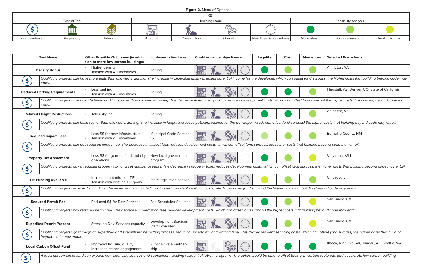*Qualifying projects can provide fewer parking spaces than allowed in zoning. The decrease in required parking reduces development costs, which can offset (and suprass) the higher costs that building beyond code may* 

| Arlington, VA |
|---------------|
|               |

| Bernalilo County, NM |
|----------------------|
|                      |

| <b>Tool Name</b>                    | <b>Other Possible Outcomes (in addi-</b><br>tion to more low-carbon buildings)                                                                                                                   | <b>Implementation Lever</b>                          | Could advance objectives of       | <b>Legality</b> | Cost | Momentum | <b>Selected Precedents</b>                                                                                                                                                                                               |
|-------------------------------------|--------------------------------------------------------------------------------------------------------------------------------------------------------------------------------------------------|------------------------------------------------------|-----------------------------------|-----------------|------|----------|--------------------------------------------------------------------------------------------------------------------------------------------------------------------------------------------------------------------------|
| <b>Density Bonus</b>                | Higher density<br>Tension with AH incentives                                                                                                                                                     | Zoning                                               | 屬                                 |                 |      |          | Arlington, VA                                                                                                                                                                                                            |
| entail.                             |                                                                                                                                                                                                  |                                                      |                                   |                 |      |          | Qualifying projects can have more units than allowed in zoning. The increase in allowable units increases potential income for the developer, which can offset (and surpass) the higher costs that building beyond code  |
| <b>Reduced Parking Requirements</b> | Less parking<br>Tension with AH incentives                                                                                                                                                       | Zoning                                               | 腦                                 |                 |      |          | Flagstaff, AZ, Denver, CO, State of California                                                                                                                                                                           |
| entail.                             |                                                                                                                                                                                                  |                                                      |                                   |                 |      |          | Qualifying projects can provide fewer parking spaces than allowed in zoning. The decrease in required parking reduces development costs, which can offset (and suprass) the higher costs that building beyond code r     |
| <b>Relaxed Height Restrictions</b>  | Taller skyline                                                                                                                                                                                   | Zoning                                               | 屬                                 |                 |      |          | Arlington, VA                                                                                                                                                                                                            |
|                                     |                                                                                                                                                                                                  |                                                      |                                   |                 |      |          | Qualifying projects can build higher than allowed in zoning. The increase in height increases potential income for the developer, which can offset (and surpass) the higher costs that building beyond code may entail.  |
| <b>Reduced Impact Fees</b>          | Less \$\$ for new infrastructure<br>Tension with AH incentives                                                                                                                                   | <b>Municipal Code Section</b><br>15                  | 腦                                 |                 |      |          | <b>Bernalilo County, NM</b>                                                                                                                                                                                              |
| \$.                                 | Qualifying projects can pay reduced impact fee. The decrease in impact fees reduces development costs, which can offset (and surpass) the higher costs that building beyond code may entail.     |                                                      |                                   |                 |      |          |                                                                                                                                                                                                                          |
| <b>Property Tax Abatement</b>       | Less \$\$ for general fund and city<br>operations                                                                                                                                                | New local government<br>program                      | ▓                                 |                 |      |          | Cincinnati, OH                                                                                                                                                                                                           |
|                                     |                                                                                                                                                                                                  |                                                      |                                   |                 |      |          | Qualifying projects pay a reduced property tax for a set number of years. The decrease in property taxes reduces development costs, which can offset (and surpass) the higher costs that building beyond code may en     |
| <b>TIF Funding Available</b>        | Increased attention on TIF<br>Tension with existing TIF goals                                                                                                                                    | State legislation passed                             | 腦                                 |                 |      |          | Chicago, IL                                                                                                                                                                                                              |
| \$                                  | Qualifying projects receive TIF funding. The increase in available financing reduces debt servicing costs, which can offset (and surpass) the higher costs that building beyond code may entail. |                                                      |                                   |                 |      |          |                                                                                                                                                                                                                          |
| <b>Reduced Permit Fee</b>           | Reduced \$\$ for Dev. Services                                                                                                                                                                   | Fee Schedules Adjusted                               | ⊯<br>$63 -$                       |                 |      |          | San Diego, CA                                                                                                                                                                                                            |
|                                     | Qualifying projects pay reduced permit fee. The decrease in permitting fees reduces development costs, which can offset (and surpass) the higher costs that building beyond code may entail.     |                                                      |                                   |                 |      |          |                                                                                                                                                                                                                          |
| <b>Expedited Permit Process</b>     | Stress on Dev. Services capacity                                                                                                                                                                 | <b>Development Services</b><br><b>Staff Expanded</b> | 臞                                 |                 |      |          | San Diego, CA                                                                                                                                                                                                            |
| beyond code may entail.             |                                                                                                                                                                                                  |                                                      |                                   |                 |      |          | Qualifying projects go through an expedited and streamlined permitting process, reducing uncertainty and waiting time. This decreases debt servicing costs, which can offset (and surpass) the higher costs that buildin |
| <b>Local Carbon Offset Fund</b>     | Improved housing quality<br>Increased citizen engagement                                                                                                                                         | <b>Public Private Partner-</b><br>ship               | <b>Kanal</b><br><b>10)</b><br>200 |                 |      |          | Ithaca, NY, Sitka, AK, Juneau, AK, Seattle, W                                                                                                                                                                            |
| \$                                  |                                                                                                                                                                                                  |                                                      |                                   |                 |      |          | A local carbon offset fund can expand new financing sources and supplement existing residential retrofit programs. The public would be able to offset their own carbon footprints and accelerate low carbon building.    |

| nentum   Selected Precedents |
|------------------------------|
| Arlington, VA                |

d surpass) the higher costs that building beyond code may

| Flagstaff, AZ, Denver, CO, State of California |
|------------------------------------------------|
|                                                |

|               | Cincinnati, OH |
|---------------|----------------|
| $\cdots$<br>. | .<br>.         |

ss) the higher costs that building beyond code may entail.

|   | Chicago, IL |
|---|-------------|
| ٠ | $\cdot$     |

|   | San Diego, CA |
|---|---------------|
| ۰ | $\sim$ $\sim$ |





|                 |              |             |           |                       | <b>VEV</b>    |                         |                             |                   |                   |
|-----------------|--------------|-------------|-----------|-----------------------|---------------|-------------------------|-----------------------------|-------------------|-------------------|
|                 | Type of Tool |             |           | <b>Building Stage</b> |               |                         | <b>Feasibility Analysis</b> |                   |                   |
|                 | III          | $\mathbb Z$ | 鷗         |                       | <b>RACTES</b> |                         |                             |                   |                   |
| Incentive-Based | Regulatory   | Education   | Blueprint | Construction          | Operation     | Next Life (Decon/Rehab) | Move ahead                  | Some reservations | Real difficulties |

## **Figure 2.** Menu of Options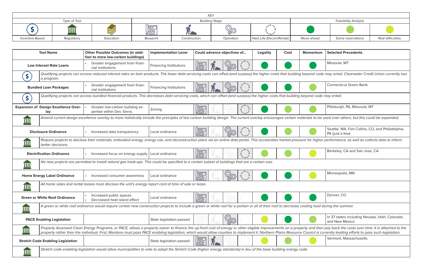|  | Connecticut Green Bank |
|--|------------------------|
|--|------------------------|

|  | Pittsburgh, PA, Missoula, MT |
|--|------------------------------|
|--|------------------------------|

| Seattle, WA, Fort Collins, CO, and Philadelphia, |
|--------------------------------------------------|
| $ PA$ (just a few)                               |

| Berkeley, CA and San Jose, CA |
|-------------------------------|
|                               |

| Minneapolis, MN |
|-----------------|
|                 |

|                          | Denver, CO |  |  |  |  |  |
|--------------------------|------------|--|--|--|--|--|
|                          |            |  |  |  |  |  |
| a load durina the summer |            |  |  |  |  |  |

|                           | <b>Tool Name</b>                                   | <b>Other Possible Outcomes (in addi-</b><br>tion to more low-carbon buildings)                                                                                                                  | <b>Implementation Lever</b>   | Could advance objectives of     | <b>Legality</b> | Cost | Momentum | <b>Selected Precedents</b>                                                                                                                                                                                                                                                                                                                                                                                                                                 |
|---------------------------|----------------------------------------------------|-------------------------------------------------------------------------------------------------------------------------------------------------------------------------------------------------|-------------------------------|---------------------------------|-----------------|------|----------|------------------------------------------------------------------------------------------------------------------------------------------------------------------------------------------------------------------------------------------------------------------------------------------------------------------------------------------------------------------------------------------------------------------------------------------------------------|
|                           | <b>Low Interest Rate Loans</b>                     | Greater engagement from finan-<br>cial institutions                                                                                                                                             | <b>Financing Institutions</b> | 圖                               |                 |      |          | Missoula, MT                                                                                                                                                                                                                                                                                                                                                                                                                                               |
|                           | a program.                                         |                                                                                                                                                                                                 |                               |                                 |                 |      |          | Qualifying projects can access reduced interest rates on loan products. The lower debt servicing costs can offset (and surpass) the higher costs that building beyond code may entail. Clearwater Credit Union currently ha                                                                                                                                                                                                                                |
|                           | <b>Bundled Loan Packages</b>                       | Greater engagement from finan-<br>cial institutions                                                                                                                                             | <b>Financing Institutions</b> | 腦                               |                 |      |          | <b>Connecticut Green Bank</b>                                                                                                                                                                                                                                                                                                                                                                                                                              |
| \$                        |                                                    | Qualifying projects can access bundled financial products. This decreases debt servicing costs, which can offset (and surpass) the higher costs that building beyond code may entail.           |                               |                                 |                 |      |          |                                                                                                                                                                                                                                                                                                                                                                                                                                                            |
|                           | <b>Expansion of Design Excellence Over-</b><br>lay | Greater low-carbon building ex-<br>pertise within Dev. Servs.                                                                                                                                   | Zoning                        | <b>IRS</b>                      |                 |      |          | Pittsburgh, PA, Missoula, MT                                                                                                                                                                                                                                                                                                                                                                                                                               |
| $\overline{\mathbf{III}}$ |                                                    |                                                                                                                                                                                                 |                               |                                 |                 |      |          | Amend current design excellence overlay to more holistically include the principles of low carbon building design. The current overlay encourages certain materials to be used over others, but this could be expanded.                                                                                                                                                                                                                                    |
|                           | <b>Disclosure Ordinance</b>                        | Increased data transparency                                                                                                                                                                     | Local ordinance               | <b>IRS</b><br><b><u>Q</u>zo</b> |                 |      |          | Seattle, WA, Fort Collins, CO, and Philadelphia,<br>PA (just a few)                                                                                                                                                                                                                                                                                                                                                                                        |
| <u>IIII</u>               | better decisions.                                  |                                                                                                                                                                                                 |                               |                                 |                 |      |          | Require projects to disclose their materials, embodied energy, energy use, and deconstruction plans via an online data portal. This accelerates market pressure for higher performance, as well as collects data to inform                                                                                                                                                                                                                                 |
|                           | <b>Electrification Ordinance</b>                   | Increased focus on energy supply   Local ordinance                                                                                                                                              |                               | <b>IRS</b>                      |                 |      |          | Berkeley, CA and San Jose, CA                                                                                                                                                                                                                                                                                                                                                                                                                              |
| IIII                      |                                                    | No new projects are permitted to install natural gas hook-ups. This could be specified to a certain subset of buildings that are a certain size.                                                |                               |                                 |                 |      |          |                                                                                                                                                                                                                                                                                                                                                                                                                                                            |
|                           | <b>Home Energy Label Ordinance</b>                 | Increased consumer awareness                                                                                                                                                                    | Local ordinance               | <b>IBS</b>                      |                 |      |          | Minneapolis, MN                                                                                                                                                                                                                                                                                                                                                                                                                                            |
| $\overline{\mathbf{III}}$ |                                                    | All home sales and rental leases must disclose the unit's energy report card at time of sale or lease.                                                                                          |                               |                                 |                 |      |          |                                                                                                                                                                                                                                                                                                                                                                                                                                                            |
|                           | <b>Green or White Roof Ordinance</b>               | Increased public spaces<br>Decreased heat island effect                                                                                                                                         | Local ordinance               | <u>In India</u>                 |                 |      |          | Denver, CO                                                                                                                                                                                                                                                                                                                                                                                                                                                 |
| <u>Ш</u>                  |                                                    | A green or white roof ordinance would require certain new construction projects to include a green or white roof for a portion or all of their roof to decrease cooling load during the summer. |                               |                                 |                 |      |          |                                                                                                                                                                                                                                                                                                                                                                                                                                                            |
|                           | <b>PACE Enabling Legislation</b>                   |                                                                                                                                                                                                 | State legislation passed      | ි<br>සිග                        |                 |      |          | In 37 states including Nevada, Utah, Colorado,<br>and New Mexico                                                                                                                                                                                                                                                                                                                                                                                           |
| $\overline{\mathbf{III}}$ |                                                    |                                                                                                                                                                                                 |                               |                                 |                 |      |          | Property Assessed Clean Energy Programs, or PACE, allows a property owner to finance the up-front cost of energy or other eligible improvements on a property and then pay back the costs over time. It is attached to the<br>property rather than the individual. First, Montana must pass PACE enabling legislation, which would allow counties to implement it. Northern Plains Resource Council is currently leading efforts to pass such legislation. |
|                           | <b>Stretch Code Enabling Legislation</b>           |                                                                                                                                                                                                 | State legislation passed      | 福                               |                 |      |          | Vermont, Massachusetts                                                                                                                                                                                                                                                                                                                                                                                                                                     |
| <u>IIII</u>               |                                                    | Stretch code enabling legislation would allow municipalities to vote to adopt the Stretch Code (higher energy standards) in lieu of the base building energy code.                              |                               |                                 |                 |      |          |                                                                                                                                                                                                                                                                                                                                                                                                                                                            |

| nentum Selected Precedents |
|----------------------------|
| Missoula, MT               |

| In 37 states including Nevada, Utah, Colorado, |
|------------------------------------------------|
| and New Mexico                                 |

| Vermont, Massachusetts |
|------------------------|
|                        |

| <b>KEV</b>      |              |             |                       |              |            |                         |                             |                   |                   |
|-----------------|--------------|-------------|-----------------------|--------------|------------|-------------------------|-----------------------------|-------------------|-------------------|
|                 | Type of Tool |             | <b>Building Stage</b> |              |            |                         | <b>Feasibility Analysis</b> |                   |                   |
|                 |              | $\mathbb Z$ | 圝                     |              | <b>ARC</b> |                         |                             |                   |                   |
| Incentive-Based | Regulatory   | Education   | Blueprint             | Construction | Operation  | Next Life (Decon/Rehab) | Move ahead                  | Some reservations | Real difficulties |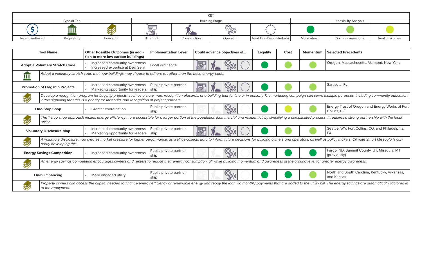|             | <b>Tool Name</b>                                                                                                                                                                            | <b>Other Possible Outcomes (in addi-</b><br>tion to more low-carbon buildings)              | <b>Implementation Lever</b>     | Could advance objectives of | <b>Legality</b> | Cost | <b>Momentum</b> | <b>Selected Precedents</b>                                                                                                                                                                                                   |
|-------------|---------------------------------------------------------------------------------------------------------------------------------------------------------------------------------------------|---------------------------------------------------------------------------------------------|---------------------------------|-----------------------------|-----------------|------|-----------------|------------------------------------------------------------------------------------------------------------------------------------------------------------------------------------------------------------------------------|
|             | <b>Adopt a Voluntary Stretch Code</b>                                                                                                                                                       | Increased community awareness<br>Increased expertise at Dev. Serv.                          | Local ordinance                 |                             |                 |      |                 | Oregon, Massachusetts, Vermont, New York                                                                                                                                                                                     |
| <b>TIII</b> | Adopt a voluntary stretch code that new buildings may choose to adhere to rather than the base energy code.                                                                                 |                                                                                             |                                 |                             |                 |      |                 |                                                                                                                                                                                                                              |
|             | <b>Promotion of Flagship Projects</b>                                                                                                                                                       | Increased community awareness<br>Marketing opportunity for leaders   ship                   | Public private partner-         | 麡                           |                 |      |                 | Sarasota, FL                                                                                                                                                                                                                 |
| V           |                                                                                                                                                                                             | virtue signaling that this is a priority for Missoula, and recognition of project partners. |                                 |                             |                 |      |                 | Develop a recognition program for flagship projects, such as a story map, recognition placards, or a building tour (online or in person). The marketing campaign can serve multiple purposes, including community education, |
|             | <b>One-Stop Shop</b>                                                                                                                                                                        | <b>Greater coordination</b>                                                                 | Public private partner-<br>ship | <b>CASS</b>                 |                 |      |                 | Energy Trust of Oregon and Energy Works of Fort<br>Collins, CO                                                                                                                                                               |
|             | utility.                                                                                                                                                                                    |                                                                                             |                                 |                             |                 |      |                 | The 1-stop shop approach makes energy efficiency more accessible for a larger portion of the population (commercial and residential) by simplifying a complicated process. It requires a strong partnership with the local   |
|             | <b>Voluntary Disclosure Map</b>                                                                                                                                                             | Increased community awareness<br>Marketing opportunity for leaders   ship                   | Public private partner-         |                             |                 |      |                 | Seattle, WA, Fort Collins, CO, and Philadelphia,<br><b>PA</b>                                                                                                                                                                |
|             | rently developing this.                                                                                                                                                                     |                                                                                             |                                 |                             |                 |      |                 | A voluntary disclosure map creates market pressure for higher performance, as well as collects data to inform future decisions for building owners and operators, as well as policy makers. Climate Smart Missoula is cur-   |
|             | <b>Energy Savings Competition</b>                                                                                                                                                           | Increased community awareness                                                               | Public private partner-<br>ship | <b>CASA</b>                 |                 |      |                 | Fargo, ND, Summit County, UT, Missoula, MT<br>(previously)                                                                                                                                                                   |
| V           | An energy savings competition encourages owners and renters to reduce their energy consumption, all while building momentum and awareness at the ground level for greater energy awareness. |                                                                                             |                                 |                             |                 |      |                 |                                                                                                                                                                                                                              |
|             | <b>On-bill financing</b>                                                                                                                                                                    | More engaged utility                                                                        | Public private partner-<br>ship | <b><u> (Q)</u></b>          |                 |      |                 | North and South Carolina, Kentucky, Arkansas,<br>and Kansas                                                                                                                                                                  |
|             | to the repayment.                                                                                                                                                                           |                                                                                             |                                 |                             |                 |      |                 | Property owners can access the capital needed to finance energy efficiency or renewable energy and repay the loan via monthly payments that are added to the utility bill. The energy savings are automatically factored in  |



|                                       |            |           |           |              | <b>KEY</b> |                         |            |                             |                   |
|---------------------------------------|------------|-----------|-----------|--------------|------------|-------------------------|------------|-----------------------------|-------------------|
| Type of Tool<br><b>Building Stage</b> |            |           |           |              |            |                         |            | <b>Feasibility Analysis</b> |                   |
|                                       |            |           | 屬         |              | ಜ್ಞಣ       |                         |            |                             |                   |
| Incentive-Based                       | Regulatory | Education | Blueprint | Construction | Operation  | Next Life (Decon/Rehab) | Move ahead | Some reservations           | Real difficulties |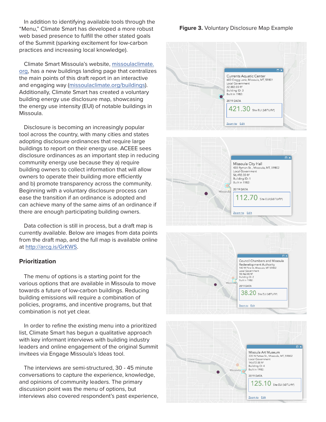In addition to identifying available tools through the "Menu," Climate Smart has developed a more robust web based presence to fulfill the other stated goals of the Summit (sparking excitement for low-carbon practices and increasing local knowledge).

Climate Smart Missoula's website, missoulaclimate. org, has a new buildings landing page that centralizes the main points of this draft report in an interactive and engaging way (missoulaclimate.org/buildings). Additionally, Climate Smart has created a voluntary building energy use disclosure map, showcasing the energy use intensity (EUI) of notable buildings in Missoula.

Disclosure is becoming an increasingly popular tool across the country, with many cities and states adopting disclosure ordinances that require large buildings to report on their energy use. ACEEE sees disclosure ordinances as an important step in reducing community energy use because they a) require building owners to collect information that will allow owners to operate their building more efficiently and b) promote transparency across the community. Beginning with a voluntary disclosure process can ease the transition if an ordinance is adopted and can achieve many of the same aims of an ordinance if there are enough participating building owners.

Data collection is still in process, but a draft map is currently available. Below are images from data points from the draft map, and the full map is available online at http://arcg.is/GrKWS.

## **Prioritization**

The menu of options is a starting point for the various options that are available in Missoula to move towards a future of low-carbon buildings. Reducing building emissions will require a combination of policies, programs, and incentive programs, but that combination is not yet clear.

In order to refine the existing menu into a prioritized list, Climate Smart has begun a qualitative approach with key informant interviews with building industry leaders and online engagement of the original Summit invitees via Engage Missoula's Ideas tool.

The interviews are semi-structured, 30 - 45 minute conversations to capture the experience, knowledge, and opinions of community leaders. The primary discussion point was the menu of options, but interviews also covered respondent's past experience,

## **Figure 3.** Voluntary Disclosure Map Example





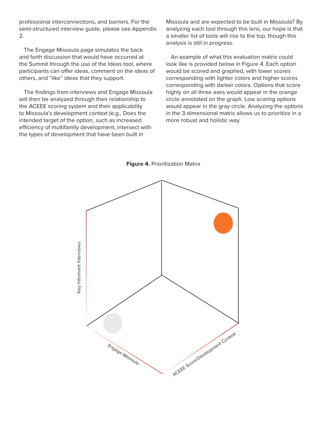professional interconnections, and barriers. For the semi-structured interview guide, please see Appendix 2.

The Engage Missoula page simulates the back and forth discussion that would have occurred at the Summit through the use of the Ideas tool, where participants can offer ideas, comment on the ideas of others, and "like" ideas that they support.

The findings from interviews and Engage Missoula will then be analyzed through their relationship to the ACEEE scoring system and their applicability to Missoula's development context (e.g., Does the intended target of the option, such as increased efficiency of multifamily development, intersect with the types of development that have been built in

Missoula and are expected to be built in Missoula? By analyzing each tool through this lens, our hope is that a smaller list of tools will rise to the top, though this analysis is still in progress.

An example of what this evaluation matrix could look like is provided below in Figure 4. Each option would be scored and graphed, with lower scores corresponding with lighter colors and higher scores corresponding with darker colors. Options that score highly on all three axes would appear in the orange circle annotated on the graph. Low scoring options would appear in the gray circle. Analyzing the options in the 3-dimensional matrix allows us to prioritize in a more robust and holistic way.



**Figure 4. Prioritization Matrix**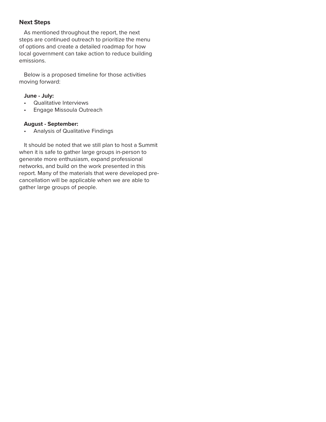## **Next Steps**

As mentioned throughout the report, the next steps are continued outreach to prioritize the menu of options and create a detailed roadmap for how local government can take action to reduce building emissions.

Below is a proposed timeline for those activities moving forward:

## **June - July:**

- Qualitative Interviews
- Engage Missoula Outreach

## **August - September:**

• Analysis of Qualitative Findings

It should be noted that we still plan to host a Summit when it is safe to gather large groups in-person to generate more enthusiasm, expand professional networks, and build on the work presented in this report. Many of the materials that were developed precancellation will be applicable when we are able to gather large groups of people.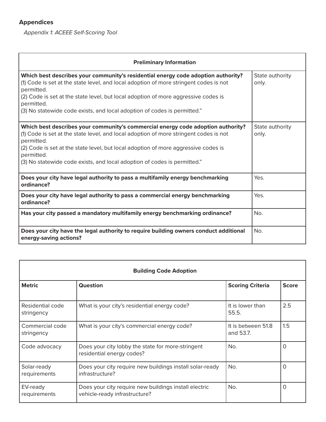## **Appendices**

*Appendix 1: ACEEE Self-Scoring Tool*

| <b>Preliminary Information</b>                                                                                                                                                                                                                                                                                                                                           |                          |
|--------------------------------------------------------------------------------------------------------------------------------------------------------------------------------------------------------------------------------------------------------------------------------------------------------------------------------------------------------------------------|--------------------------|
| Which best describes your community's residential energy code adoption authority?<br>(1) Code is set at the state level, and local adoption of more stringent codes is not<br>permitted.<br>(2) Code is set at the state level, but local adoption of more aggressive codes is<br>permitted.<br>(3) No statewide code exists, and local adoption of codes is permitted." | State authority<br>only. |
| Which best describes your community's commercial energy code adoption authority?<br>(1) Code is set at the state level, and local adoption of more stringent codes is not<br>permitted.<br>(2) Code is set at the state level, but local adoption of more aggressive codes is<br>permitted.<br>(3) No statewide code exists, and local adoption of codes is permitted."  | State authority<br>only. |
| Does your city have legal authority to pass a multifamily energy benchmarking<br>ordinance?                                                                                                                                                                                                                                                                              | Yes.                     |
| Does your city have legal authority to pass a commercial energy benchmarking<br>ordinance?                                                                                                                                                                                                                                                                               | Yes.                     |
| Has your city passed a mandatory multifamily energy benchmarking ordinance?                                                                                                                                                                                                                                                                                              | No.                      |
| Does your city have the legal authority to require building owners conduct additional<br>energy-saving actions?                                                                                                                                                                                                                                                          | No.                      |

| <b>Building Code Adoption</b>  |                                                                                        |                                 |              |
|--------------------------------|----------------------------------------------------------------------------------------|---------------------------------|--------------|
| <b>Metric</b>                  | Question                                                                               | <b>Scoring Criteria</b>         | <b>Score</b> |
| Residential code<br>stringency | What is your city's residential energy code?                                           | It is lower than<br>55.5.       | 2.5          |
| Commercial code<br>stringency  | What is your city's commercial energy code?                                            | It is between 51.8<br>and 53.7. | 1.5          |
| Code advocacy                  | Does your city lobby the state for more-stringent<br>residential energy codes?         | No.                             | O            |
| Solar-ready<br>requirements    | Does your city require new buildings install solar-ready<br>infrastructure?            | No.                             | O            |
| EV-ready<br>requirements       | Does your city require new buildings install electric<br>vehicle-ready infrastructure? | No.                             | O            |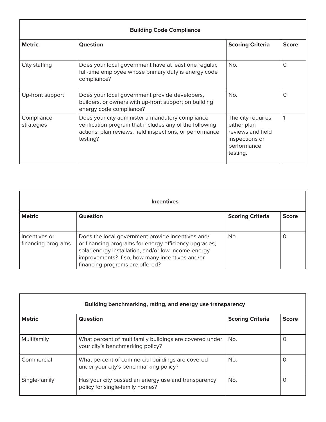| <b>Building Code Compliance</b> |                                                                                                                                                                                     |                                                                                                    |              |
|---------------------------------|-------------------------------------------------------------------------------------------------------------------------------------------------------------------------------------|----------------------------------------------------------------------------------------------------|--------------|
| <b>Metric</b>                   | <b>Question</b>                                                                                                                                                                     | <b>Scoring Criteria</b>                                                                            | <b>Score</b> |
| City staffing                   | Does your local government have at least one regular,<br>full-time employee whose primary duty is energy code<br>compliance?                                                        | No.                                                                                                | Ω            |
| Up-front support                | Does your local government provide developers,<br>builders, or owners with up-front support on building<br>energy code compliance?                                                  | No.                                                                                                | O            |
| Compliance<br>strategies        | Does your city administer a mandatory compliance<br>verification program that includes any of the following<br>actions: plan reviews, field inspections, or performance<br>testing? | The city requires<br>either plan<br>reviews and field<br>inspections or<br>performance<br>testing. |              |

| <b>Incentives</b>                   |                                                                                                                                                                                                                                                         |                         |              |
|-------------------------------------|---------------------------------------------------------------------------------------------------------------------------------------------------------------------------------------------------------------------------------------------------------|-------------------------|--------------|
| <b>Metric</b>                       | Question                                                                                                                                                                                                                                                | <b>Scoring Criteria</b> | <b>Score</b> |
| Incentives or<br>financing programs | Does the local government provide incentives and/<br>or financing programs for energy efficiency upgrades,<br>solar energy installation, and/or low-income energy<br>improvements? If so, how many incentives and/or<br>financing programs are offered? | No.                     | O            |

| Building benchmarking, rating, and energy use transparency |                                                                                             |                         |                  |
|------------------------------------------------------------|---------------------------------------------------------------------------------------------|-------------------------|------------------|
| <b>Metric</b>                                              | <b>Question</b>                                                                             | <b>Scoring Criteria</b> | <b>Score</b>     |
| Multifamily                                                | What percent of multifamily buildings are covered under<br>your city's benchmarking policy? | No.                     | $\left( \right)$ |
| Commercial                                                 | What percent of commercial buildings are covered<br>under your city's benchmarking policy?  | No.                     |                  |
| Single-family                                              | Has your city passed an energy use and transparency<br>policy for single-family homes?      | No.                     | O                |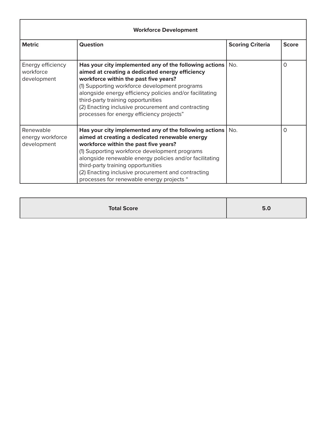| <b>Workforce Development</b>                  |                                                                                                                                                                                                                                                                                                                                                                                                                  |                         |              |
|-----------------------------------------------|------------------------------------------------------------------------------------------------------------------------------------------------------------------------------------------------------------------------------------------------------------------------------------------------------------------------------------------------------------------------------------------------------------------|-------------------------|--------------|
| <b>Metric</b>                                 | <b>Question</b>                                                                                                                                                                                                                                                                                                                                                                                                  | <b>Scoring Criteria</b> | <b>Score</b> |
| Energy efficiency<br>workforce<br>development | Has your city implemented any of the following actions $ $ No.<br>aimed at creating a dedicated energy efficiency<br>workforce within the past five years?<br>(1) Supporting workforce development programs<br>alongside energy efficiency policies and/or facilitating<br>third-party training opportunities<br>(2) Enacting inclusive procurement and contracting<br>processes for energy efficiency projects" |                         | 0            |
| Renewable<br>energy workforce<br>development  | Has your city implemented any of the following actions $ $ No.<br>aimed at creating a dedicated renewable energy<br>workforce within the past five years?<br>(1) Supporting workforce development programs<br>alongside renewable energy policies and/or facilitating<br>third-party training opportunities<br>(2) Enacting inclusive procurement and contracting<br>processes for renewable energy projects "   |                         | $\Omega$     |

| <b>Total Score</b> | 5.0 |
|--------------------|-----|
|--------------------|-----|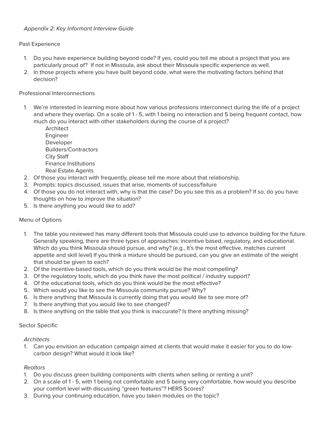## Past Experience

- 1. Do you have experience building beyond code? If yes, could you tell me about a project that you are particularly proud of? If not in Missoula, ask about their Missoula specific experience as well.
- 2. In those projects where you have built beyond code, what were the motivating factors behind that decision?

## Professional Interconnections

- 1. We're interested in learning more about how various professions interconnect during the life of a project and where they overlap. On a scale of 1 - 5, with 1 being no interaction and 5 being frequent contact, how much do you interact with other stakeholders during the course of a project?
	- Architect Engineer Developer Builders/Contractors City Staff Finance Institutions Real Estate Agents
- 2. Of those you interact with frequently, please tell me more about that relationship.
- 3. Prompts: topics discussed, issues that arise, moments of success/failure
- 4. Of those you do not interact with, why is that the case? Do you see this as a problem? If so, do you have thoughts on how to improve the situation?
- 5. Is there anything you would like to add?

## Menu of Options

- 1. The table you reviewed has many different tools that Missoula could use to advance building for the future. Generally speaking, there are three types of approaches: incentive based, regulatory, and educational. Which do you think Missoula should pursue, and why? (e.g., It's the most effective, matches current appetite and skill level) If you think a mixture should be pursued, can you give an estimate of the weight that should be given to each?
- 2. Of the incentive-based tools, which do you think would be the most compelling?
- 3. Of the regulatory tools, which do you think have the most political / industry support?
- 4. Of the educational tools, which do you think would be the most effective?
- 5. Which would you like to see the Missoula community pursue? Why?
- 6. Is there anything that Missoula is currently doing that you would like to see more of?
- 7. Is there anything that you would like to see changed?
- 8. Is there anything on the table that you think is inaccurate? Is there anything missing?

## Sector Specific

#### *Architects*

1. Can you envision an education campaign aimed at clients that would make it easier for you to do lowcarbon design? What would it look like?

## *Realtors*

- 1. Do you discuss green building components with clients when selling or renting a unit?
- 2. On a scale of 1 5, with 1 being not comfortable and 5 being very comfortable, how would you describe your comfort level with discussing "green features"? HERS Scores?
- 3. During your continuing education, have you taken modules on the topic?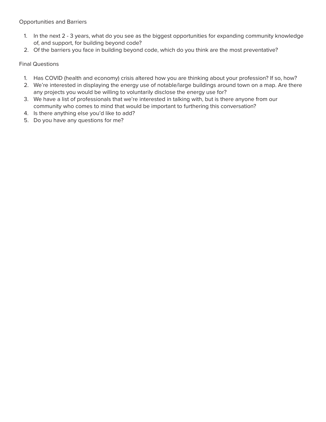Opportunities and Barriers

- 1. In the next 2 3 years, what do you see as the biggest opportunities for expanding community knowledge of, and support, for building beyond code?
- 2. Of the barriers you face in building beyond code, which do you think are the most preventative?

### Final Questions

- 1. Has COVID (health and economy) crisis altered how you are thinking about your profession? If so, how?
- 2. We're interested in displaying the energy use of notable/large buildings around town on a map. Are there any projects you would be willing to voluntarily disclose the energy use for?
- 3. We have a list of professionals that we're interested in talking with, but is there anyone from our community who comes to mind that would be important to furthering this conversation?
- 4. Is there anything else you'd like to add?
- 5. Do you have any questions for me?